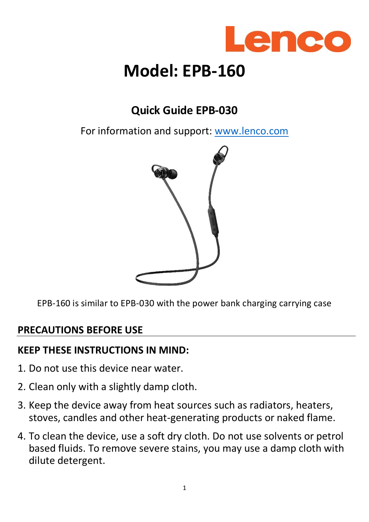

# **Model: EPB-160**

# **Quick Guide EPB-030**

For information and support: [www.lenco.com](http://www.lenco.eu/)



EPB-160 is similar to EPB-030 with the power bank charging carrying case

#### **PRECAUTIONS BEFORE USE**

#### **KEEP THESE INSTRUCTIONS IN MIND:**

- 1. Do not use this device near water.
- 2. Clean only with a slightly damp cloth.
- 3. Keep the device away from heat sources such as radiators, heaters, stoves, candles and other heat-generating products or naked flame.
- 4. To clean the device, use a soft dry cloth. Do not use solvents or petrol based fluids. To remove severe stains, you may use a damp cloth with dilute detergent.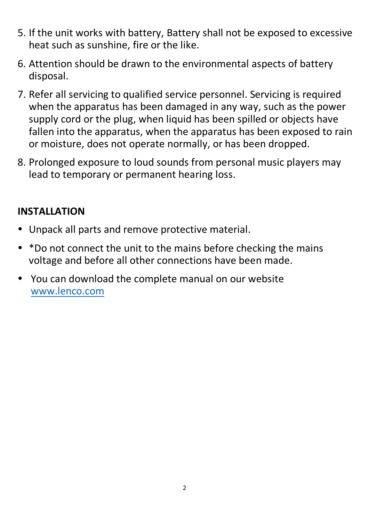- 5. If the unit works with battery, Battery shall not be exposed to excessive heat such as sunshine, fire or the like.
- 6. Attention should be drawn to the environmental aspects of battery disposal.
- 7. Refer all servicing to qualified service personnel. Servicing is required when the apparatus has been damaged in any way, such as the power supply cord or the plug, when liquid has been spilled or objects have fallen into the apparatus, when the apparatus has been exposed to rain or moisture, does not operate normally, or has been dropped.
- 8. Prolonged exposure to loud sounds from personal music players may lead to temporary or permanent hearing loss.

#### **INSTALLATION**

- Unpack all parts and remove protective material.
- \*Do not connect the unit to the mains before checking the mains voltage and before all other connections have been made.
- You can download the complete manual on our website [www.lenco.com](http://www.lenco.com/)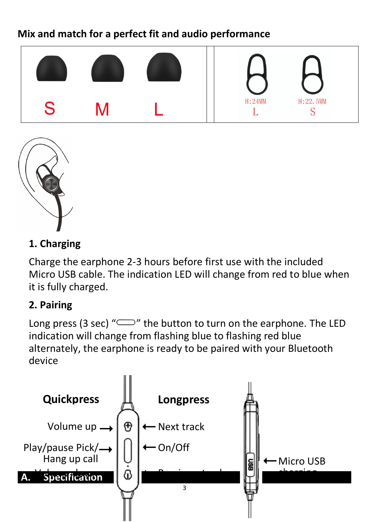# **Mix and match for a perfect fit and audio performance**





## **1. Charging**

Charge the earphone 2-3 hours before first use with the included Micro USB cable. The indication LED will change from red to blue when it is fully charged.

## **2. Pairing**

Long press (3 sec) " $\sum$ " the button to turn on the earphone. The LED indication will change from flashing blue to flashing red blue alternately, the earphone is ready to be paired with your Bluetooth device

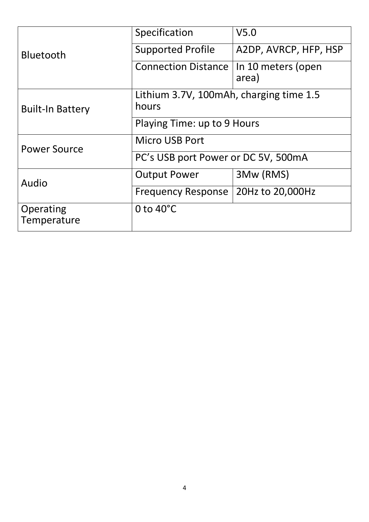| Bluetooth                | Specification                                    | V <sub>5.0</sub>            |
|--------------------------|--------------------------------------------------|-----------------------------|
|                          | <b>Supported Profile</b>                         | A2DP, AVRCP, HFP, HSP       |
|                          | <b>Connection Distance</b>                       | In 10 meters (open<br>area) |
| <b>Built-In Battery</b>  | Lithium 3.7V, 100mAh, charging time 1.5<br>hours |                             |
|                          | Playing Time: up to 9 Hours                      |                             |
| <b>Power Source</b>      | <b>Micro USB Port</b>                            |                             |
|                          | PC's USB port Power or DC 5V, 500mA              |                             |
| Audio                    | <b>Output Power</b>                              | 3Mw (RMS)                   |
|                          | <b>Frequency Response</b>                        | 20Hz to 20,000Hz            |
| Operating<br>Temperature | 0 to $40^{\circ}$ C                              |                             |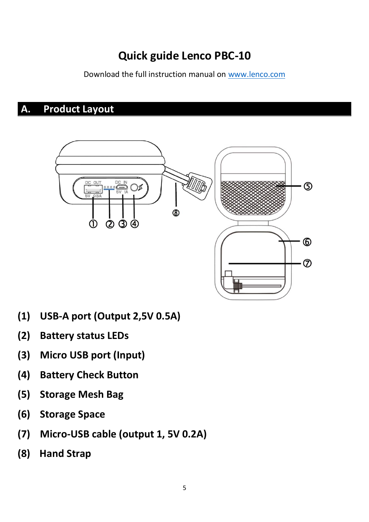# **Quick guide Lenco PBC-10**

Download the full instruction manual on [www.lenco.com](http://www.lenco.com/)

#### **A. Product Layout**



- **(1) USB-A port (Output 2,5V 0.5A)**
- **(2) Battery status LEDs**
- **(3) Micro USB port (Input)**
- **(4) Battery Check Button**
- **(5) Storage Mesh Bag**
- **(6) Storage Space**
- **(7) Micro-USB cable (output 1, 5V 0.2A)**
- **(8) Hand Strap**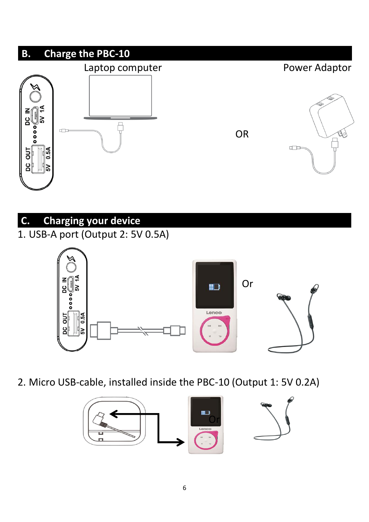## **B. Charge the PBC-10**



## **C. Charging your device**

1. USB-A port (Output 2: 5V 0.5A)



2. Micro USB-cable, installed inside the PBC-10 (Output 1: 5V 0.2A)

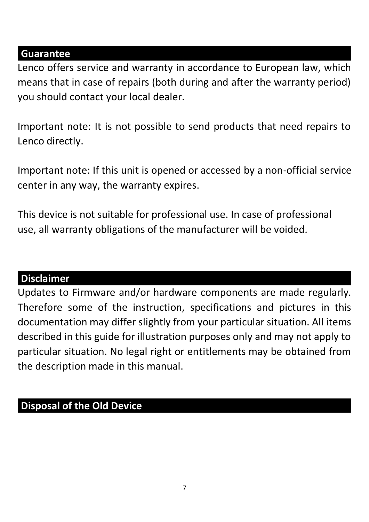#### **Guarantee**

Lenco offers service and warranty in accordance to European law, which means that in case of repairs (both during and after the warranty period) you should contact your local dealer.

Important note: It is not possible to send products that need repairs to Lenco directly.

Important note: If this unit is opened or accessed by a non-official service center in any way, the warranty expires.

This device is not suitable for professional use. In case of professional use, all warranty obligations of the manufacturer will be voided.

#### **Disclaimer**

Updates to Firmware and/or hardware components are made regularly. Therefore some of the instruction, specifications and pictures in this documentation may differ slightly from your particular situation. All items described in this guide for illustration purposes only and may not apply to particular situation. No legal right or entitlements may be obtained from the description made in this manual.

## **Disposal of the Old Device**